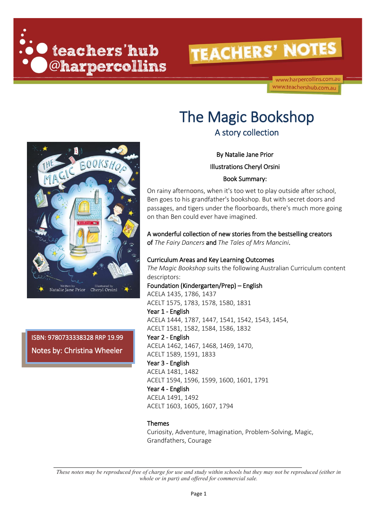

www.harpercollins.com.au www.teachershub.com.au

# The Magic Bookshop

By Natalie Jane Prior Illustrations Cheryl Orsini Book Summary:

On rainy afternoons, when it's too wet to play outside after school, Ben goes to his grandfather's bookshop. But with secret doors and passages, and tigers under the floorboards, there's much more going on than Ben could ever have imagined.

A wonderful collection of new stories from the bestselling creators of *The Fairy Dancers* and *The Tales of Mrs Mancini*.

#### Curriculum Areas and Key Learning Outcomes

*The Magic Bookshop* suits the following Australian Curriculum content descriptors:

Foundation (Kindergarten/Prep) – English ACELA 1435, 1786, 1437 ACELT 1575, 1783, 1578, 1580, 1831 Year 1 - English ACELA 1444, 1787, 1447, 1541, 1542, 1543, 1454, ACELT 1581, 1582, 1584, 1586, 1832 Year 2 - English

ACELA 1462, 1467, 1468, 1469, 1470,

ACELT 1589, 1591, 1833

Year 3 - English ACELA 1481, 1482

ACELT 1594, 1596, 1599, 1600, 1601, 1791

Year 4 - English ACELA 1491, 1492 ACELT 1603, 1605, 1607, 1794

#### Themes

Curiosity, Adventure, Imagination, Problem-Solving, Magic, Grandfathers, Courage

*These notes may be reproduced free of charge for use and study within schools but they may not be reproduced (either in whole or in part) and offered for commercial sale.*



ISBN: 9780733338328 RRP 19.99 Notes by: Christina Wheeler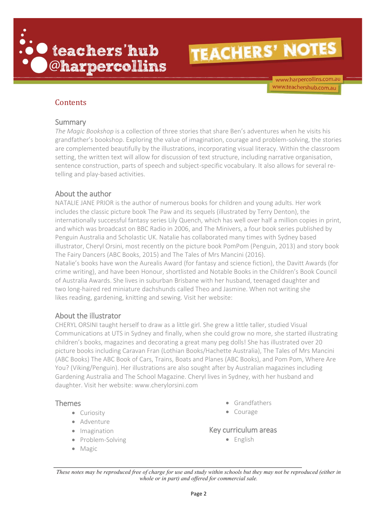

www.harpercollins.com.au www.teachershub.com.au

#### **Contents**

#### Summary

*The Magic Bookshop* is a collection of three stories that share Ben's adventures when he visits his grandfather's bookshop. Exploring the value of imagination, courage and problem-solving, the stories are complemented beautifully by the illustrations, incorporating visual literacy. Within the classroom setting, the written text will allow for discussion of text structure, including narrative organisation, sentence construction, parts of speech and subject-specific vocabulary. It also allows for several retelling and play-based activities.

#### About the author

NATALIE JANE PRIOR is the author of numerous books for children and young adults. Her work includes the classic picture book The Paw and its sequels (illustrated by Terry Denton), the internationally successful fantasy series Lily Quench, which has well over half a million copies in print, and which was broadcast on BBC Radio in 2006, and The Minivers, a four book series published by Penguin Australia and Scholastic UK. Natalie has collaborated many times with Sydney based illustrator, Cheryl Orsini, most recently on the picture book PomPom (Penguin, 2013) and story book The Fairy Dancers (ABC Books, 2015) and The Tales of Mrs Mancini (2016). Natalie's books have won the Aurealis Award (for fantasy and science fiction), the Davitt Awards (for

crime writing), and have been Honour, shortlisted and Notable Books in the Children's Book Council of Australia Awards. She lives in suburban Brisbane with her husband, teenaged daughter and two long-haired red miniature dachshunds called Theo and Jasmine. When not writing she likes reading, gardening, knitting and sewing. Visit her website:

#### About the illustrator

CHERYL ORSINI taught herself to draw as a little girl. She grew a little taller, studied Visual Communications at UTS in Sydney and finally, when she could grow no more, she started illustrating children's books, magazines and decorating a great many peg dolls! She has illustrated over 20 picture books including Caravan Fran (Lothian Books/Hachette Australia), The Tales of Mrs Mancini (ABC Books) The ABC Book of Cars, Trains, Boats and Planes (ABC Books), and Pom Pom, Where Are You? (Viking/Penguin). Her illustrations are also sought after by Australian magazines including Gardening Australia and The School Magazine. Cheryl lives in Sydney, with her husband and daughter. Visit her website: www.cherylorsini.com

#### Themes

- Curiosity
- Adventure
- Imagination
- Problem-Solving
- Magic
- Grandfathers
- Courage

#### Key curriculum areas

• English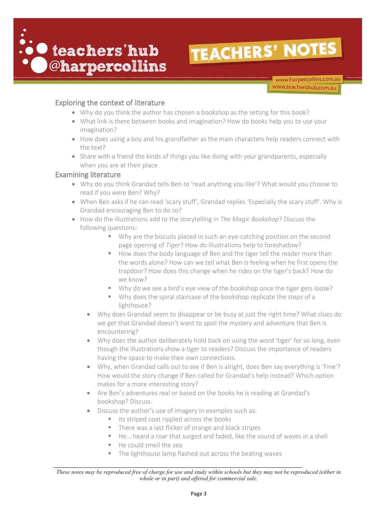

www.harpercollins.com.au www.teachershub.com.au

#### Exploring the context of literature

- Why do you think the author has chosen a bookshop as the setting for this book?
- What link is there between books and imagination? How do books help you to use your imagination?
- How does using a boy and his grandfather as the main characters help readers connect with the text?
- Share with a friend the kinds of things you like doing with your grandparents, especially when you are at their place.

#### Examining literature

- Why do you think Grandad tells Ben to 'read anything you like'? What would you choose to read if you were Ben? Why?
- When Ben asks if he can read 'scary stuff', Grandad replies 'Especially the scary stuff'. Why is Grandad encouraging Ben to do so?
- How do the illustrations add to the storytelling in *The Magic Bookshop*? Discuss the following questions:
	- Why are the biscuits placed in such an eye-catching position on the second page opening of *Tiger*? How do illustrations help to foreshadow?
	- How does the body language of Ben and the tiger tell the reader more than the words alone? How can we tell what Ben is feeling when he first opens the trapdoor? How does this change when he rides on the tiger's back? How do we know?
	- Why do we see a bird's eye view of the bookshop once the tiger gets loose?
	- Why does the spiral staircase of the bookshop replicate the steps of a lighthouse?
	- Why does Grandad seem to disappear or be busy at just the right time? What clues do we get that Grandad doesn't want to spoil the mystery and adventure that Ben is encountering?
	- Why does the author deliberately hold back on using the word 'tiger' for so long, even though the illustrations show a tiger to readers? Discuss the importance of readers having the space to make their own connections.
	- Why, when Grandad calls out to see if Ben is alright, does Ben say everything is 'Fine'? How would the story change if Ben called for Grandad's help instead? Which option makes for a more interesting story?
	- Are Ben's adventures real or based on the books he is reading at Grandad's bookshop? Discuss.
	- Discuss the author's use of imagery in examples such as:
		- Its striped coat rippled across the books
		- There was a last flicker of orange and black stripes
		- He… heard a roar that surged and faded, like the sound of waves in a shell
		- He could smell the sea
		- The lighthouse lamp flashed out across the beating waves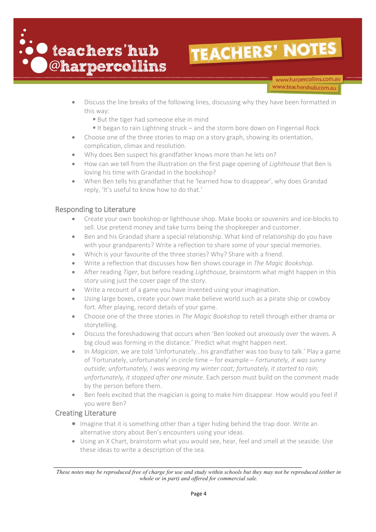

www.harpercollins.com.au www.teachershub.com.au

- Discuss the line breaks of the following lines, discussing why they have been formatted in this way:
	- **But the tiger had someone else in mind**
	- If the same to rain Lightning struck and the storm bore down on Fingernail Rock
- Choose one of the three stories to map on a story graph, showing its orientation, complication, climax and resolution.
- Why does Ben suspect his grandfather knows more than he lets on?
- How can we tell from the illustration on the first page opening of *Lighthouse* that Ben is loving his time with Grandad in the bookshop?
- When Ben tells his grandfather that he 'learned how to disappear', why does Grandad reply, 'It's useful to know how to do that.'

#### Responding to Literature

- Create your own bookshop or lighthouse shop. Make books or souvenirs and ice-blocks to sell. Use pretend money and take turns being the shopkeeper and customer.
- Ben and his Grandad share a special relationship. What kind of relationship do you have with your grandparents? Write a reflection to share some of your special memories.
- Which is your favourite of the three stories? Why? Share with a friend.
- Write a reflection that discusses how Ben shows courage in *The Magic Bookshop.*
- After reading *Tiger*, but before reading *Lighthouse*, brainstorm what might happen in this story using just the cover page of the story.
- Write a recount of a game you have invented using your imagination.
- Using large boxes, create your own make believe world such as a pirate ship or cowboy fort. After playing, record details of your game.
- Choose one of the three stories in *The Magic Bookshop* to retell through either drama or storytelling.
- Discuss the foreshadowing that occurs when 'Ben looked out anxiously over the waves. A big cloud was forming in the distance.' Predict what might happen next.
- In *Magician*, we are told 'Unfortunately…his grandfather was too busy to talk.' Play a game of 'Fortunately, unfortunately' in circle time – for example – *Fortunately, it was sunny outside; unfortunately, I was wearing my winter coat; fortunately, it started to rain; unfortunately, it stopped after one minute.* Each person must build on the comment made by the person before them.
- Ben feels excited that the magician is going to make him disappear. How would you feel if you were Ben?

#### Creating Literature

- Imagine that it is something other than a tiger hiding behind the trap door. Write an alternative story about Ben's encounters using your ideas.
- Using an X Chart, brainstorm what you would see, hear, feel and smell at the seaside. Use these ideas to write a description of the sea.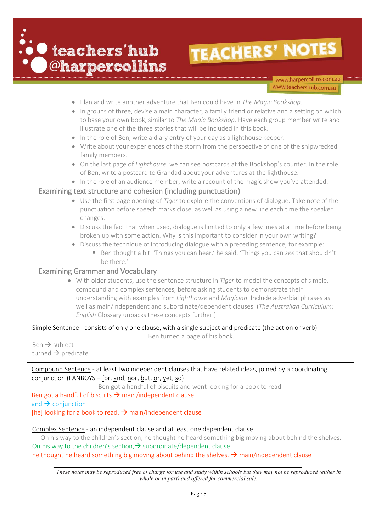

www.harpercollins.com.au www.teachershub.com.au

- Plan and write another adventure that Ben could have in *The Magic Bookshop*.
- In groups of three, devise a main character, a family friend or relative and a setting on which to base your own book, similar to *The Magic Bookshop*. Have each group member write and illustrate one of the three stories that will be included in this book.
- In the role of Ben, write a diary entry of your day as a lighthouse keeper.
- Write about your experiences of the storm from the perspective of one of the shipwrecked family members.
- On the last page of *Lighthouse*, we can see postcards at the Bookshop's counter. In the role of Ben, write a postcard to Grandad about your adventures at the lighthouse.
- In the role of an audience member, write a recount of the magic show you've attended.

#### Examining text structure and cohesion (including punctuation)

- Use the first page opening of *Tiger* to explore the conventions of dialogue. Take note of the punctuation before speech marks close, as well as using a new line each time the speaker changes.
- Discuss the fact that when used, dialogue is limited to only a few lines at a time before being broken up with some action. Why is this important to consider in your own writing?
- Discuss the technique of introducing dialogue with a preceding sentence, for example:
	- Ben thought a bit. 'Things you can hear,' he said. 'Things you can *see* that shouldn't be there.'

#### Examining Grammar and Vocabulary

• With older students, use the sentence structure in *Tiger* to model the concepts of simple, compound and complex sentences, before asking students to demonstrate their understanding with examples from *Lighthouse* and *Magician*. Include adverbial phrases as well as main/independent and subordinate/dependent clauses. (*The Australian Curriculum: English* Glossary unpacks these concepts further.)

Simple Sentence - consists of only one clause, with a single subject and predicate (the action or verb). Ben turned a page of his book.

 $Ben \rightarrow subject$ turned  $\rightarrow$  predicate

Compound Sentence - at least two independent clauses that have related ideas, joined by a coordinating conjunction (FANBOYS – for, and, nor, but, or, yet, so)

Ben got a handful of biscuits and went looking for a book to read.

Ben got a handful of biscuits  $\rightarrow$  main/independent clause and  $\rightarrow$  conjunction [he] looking for a book to read.  $\rightarrow$  main/independent clause

#### Complex Sentence - an independent clause and at least one dependent clause

On his way to the children's section, he thought he heard something big moving about behind the shelves. On his way to the children's section,  $\rightarrow$  subordinate/dependent clause he thought he heard something big moving about behind the shelves.  $\rightarrow$  main/independent clause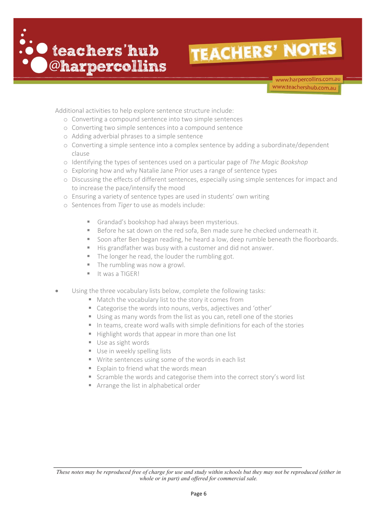

www.harpercollins.com.au www.teachershub.com.au

Additional activities to help explore sentence structure include:

- o Converting a compound sentence into two simple sentences
- o Converting two simple sentences into a compound sentence
- o Adding adverbial phrases to a simple sentence
- o Converting a simple sentence into a complex sentence by adding a subordinate/dependent clause
- o Identifying the types of sentences used on a particular page of *The Magic Bookshop*
- o Exploring how and why Natalie Jane Prior uses a range of sentence types
- o Discussing the effects of different sentences, especially using simple sentences for impact and to increase the pace/intensify the mood
- o Ensuring a variety of sentence types are used in students' own writing
- o Sentences from *Tiger* to use as models include:
	- **■** Grandad's bookshop had always been mysterious.
	- Before he sat down on the red sofa, Ben made sure he checked underneath it.
	- Soon after Ben began reading, he heard a low, deep rumble beneath the floorboards.
	- His grandfather was busy with a customer and did not answer.
	- The longer he read, the louder the rumbling got.
	- The rumbling was now a growl.
	- **■** It was a TIGER!
- Using the three vocabulary lists below, complete the following tasks:
	- Match the vocabulary list to the story it comes from
	- Categorise the words into nouns, verbs, adiectives and 'other'
	- Using as many words from the list as you can, retell one of the stories
	- In teams, create word walls with simple definitions for each of the stories
	- Highlight words that appear in more than one list
	- Use as sight words
	- **Use in weekly spelling lists**
	- Write sentences using some of the words in each list
	- Explain to friend what the words mean
	- Scramble the words and categorise them into the correct story's word list
	- Arrange the list in alphabetical order

*These notes may be reproduced free of charge for use and study within schools but they may not be reproduced (either in whole or in part) and offered for commercial sale.*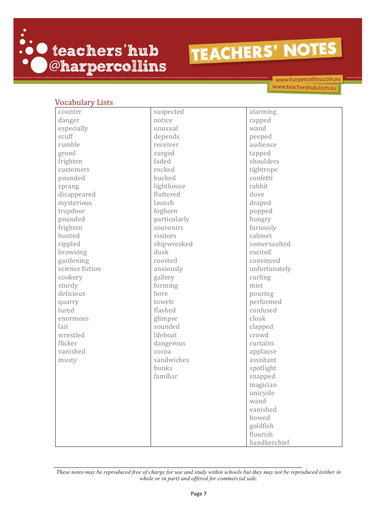

www.harpercollins.com.au www.teachershub.com.au

| <b>Vocabulary Lists</b> |              |               |
|-------------------------|--------------|---------------|
| counter                 | suspected    | alarming      |
| danger                  | notice       | rapped        |
| especially              | unusual      | wand          |
| scuff                   | depends      | peeped        |
| rumble                  | receiver     | audience      |
| growl                   | surged       | tapped        |
| frighten                | faded        | shoulders     |
| customers               | rocked       | tightrope     |
| pounded                 | bucked       | confetti      |
| sprang                  | lighthouse   | rabbit        |
| disappeared             | fluttered    | dove          |
| mysterious              | launch       | draped        |
| trapdoor                | foghorn      | popped        |
| pounded                 | particularly | hungry        |
| frighten                | souvenirs    | furiously     |
| hunted                  | visitors     | cabinet       |
| rippled                 | shipwrecked  | somersaulted  |
| browsing                | dusk         | excited       |
| gardening               | roosted      | convinced     |
| science fiction         | anxiously    | unfortunately |
| cookery                 | gallery      | curling       |
| sturdy                  | forming      | mist          |
| delicious               | bore         | pouring       |
| quarry                  | towels       | performed     |
| lured                   | flashed      | confused      |
| enormous                | glimpse      | cloak         |
| lair                    | sounded      | clapped       |
| wrestled                | lifeboat     | crowd         |
| flicker                 | dangerous    | curtains      |
| vanished                | cocoa        | applause      |
| musty                   | sandwiches   | assistant     |
|                         | bunks        | spotlight     |
|                         | familiar     | snapped       |
|                         |              | magician      |
|                         |              | unicycle      |
|                         |              | wand          |
|                         |              | vanished      |
|                         |              | bowed         |
|                         |              | goldfish      |
|                         |              | flourish      |
|                         |              | handkerchief  |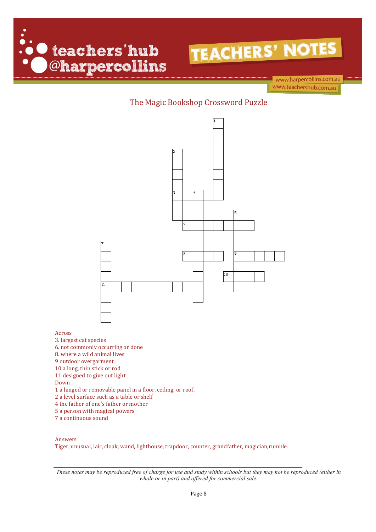



www.harpercollins.com.au www.teachershub.com.au

### The Magic Bookshop Crossword Puzzle



- 9 outdoor overgarment
- 10 a long, thin stick or rod
- 11.designed to give out light
- Down

Across

- 1 a hinged or removable panel in a floor, ceiling, or roof.
- 2 a level surface such as a table or shelf
- 4 the father of one's father or mother
- 5 a person with magical powers
- 7 a continuous sound

#### Answers

Tiger, unusual, lair, cloak, wand, lighthouse, trapdoor, counter, grandfather, magician,rumble.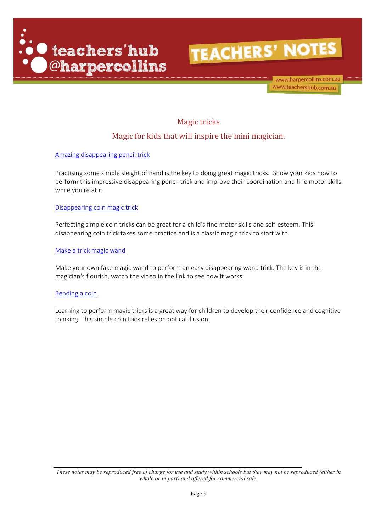



www.harpercollins.com.au www.teachershub.com.au

### Magic tricks

### Magic for kids that will inspire the mini magician.

[Amazing disappearing pencil trick](https://www.kidspot.com.au/things-to-do/activity-articles/amazing-disappearing-pencil-trick/news-story/1a58ac5bf0a06cd6f1dc47a19f7eb83b?ref=collection_view,magic-tricks)

Practising some simple sleight of hand is the key to doing great magic tricks. Show your kids how to perform this impressive disappearing pencil trick and improve their coordination and fine motor skills while you're at it.

[Disappearing coin magic trick](https://www.kidspot.com.au/things-to-do/activity-articles/disappearing-coin-magic-trick/news-story/6e2bbe3da5456e82dfdaaac68df06488?ref=collection_view,magic-tricks)

Perfecting simple coin tricks can be great for a child's fine motor skills and self-esteem. This disappearing coin trick takes some practice and is a classic magic trick to start with.

[Make a trick magic wand](https://www.kidspot.com.au/things-to-do/activity-articles/make-a-trick-magic-wand/news-story/cfc37daa96776601a8256031a4647397?ref=collection_view,magic-tricks)

Make your own fake magic wand to perform an easy disappearing wand trick. The key is in the magician's flourish, watch the video in the link to see how it works.

#### [Bending a coin](https://www.kidspot.com.au/things-to-do/activity-articles/bending-a-coin/news-story/2efcf526241d9b06174a1a8616a4b04c?ref=collection_view,magic-tricks)

Learning to perform magic tricks is a great way for children to develop their confidence and cognitive thinking. This simple coin trick relies on optical illusion.